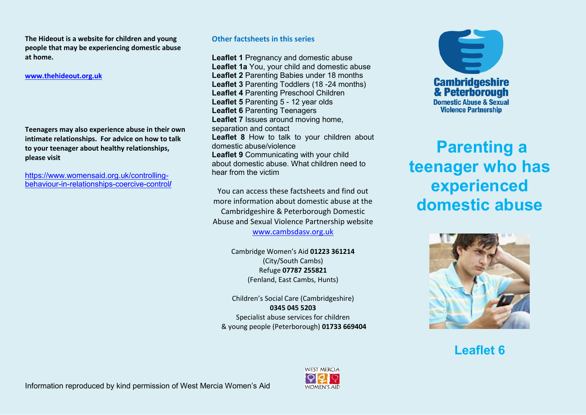**The Hideout is a website for children and young people that may be experiencing domestic abuse at home.** 

**[www.thehideout.org.uk](http://www.thehideout.org.uk/)**

**Teenagers may also experience abuse in their own intimate relationships. For advice on how to talk to your teenager about healthy relationships, please visit** 

[https://www.womensaid.org.uk/controlling](https://www.womensaid.org.uk/controlling-behaviour-in-relationships-coercive-control/)[behaviour-in-relationships-coercive-control](https://www.womensaid.org.uk/controlling-behaviour-in-relationships-coercive-control/)**/**

#### **Other factsheets in this series**

**Leaflet 1** Pregnancy and domestic abuse **Leaflet 1a** You, your child and domestic abuse **Leaflet 2** Parenting Babies under 18 months **Leaflet 3** Parenting Toddlers (18 -24 months) **Leaflet 4** Parenting Preschool Children **Leaflet 5** Parenting 5 - 12 year olds **Leaflet 6** Parenting Teenagers **Leaflet 7** Issues around moving home, separation and contact **Leaflet 8** How to talk to your children about domestic abuse/violence **Leaflet 9** Communicating with your child about domestic abuse. What children need to hear from the victim

You can access these factsheets and find out more information about domestic abuse at the Cambridgeshire & Peterborough Domestic Abuse and Sexual Violence Partnership website

[www.cambsdasv.org.uk](http://www.cambsdasv.org.uk/) 

Cambridge Women's Aid 01223 361214 (City/South Cambs) Refuge **07787 255821**  (Fenland, East Cambs, Hunts)

Children's Social Care (Cambridgeshire) **0345 045 5203**  Specialist abuse services for children & young people (Peterborough) **01733 669404** 



# **Parenting a teenager who has experienced domestic abuse**



**Leaflet 6**